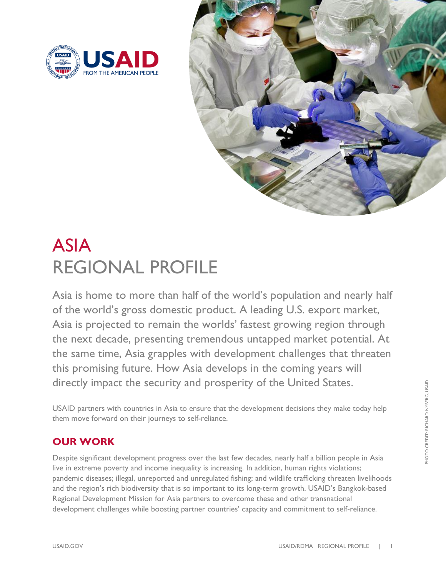



# ASIA REGIONAL PROFILE

Asia is home to more than half of the world's population and nearly half of the world's gross domestic product. A leading U.S. export market, Asia is projected to remain the worlds' fastest growing region through the next decade, presenting tremendous untapped market potential. At the same time, Asia grapples with development challenges that threaten this promising future. How Asia develops in the coming years will directly impact the security and prosperity of the United States.

USAID partners with countries in Asia to ensure that the development decisions they make today help them move forward on their journeys to self-reliance.

## **OUR WORK**

Despite significant development progress over the last few decades, nearly half a billion people in Asia live in extreme poverty and income inequality is increasing. In addition, human rights violations; pandemic diseases; illegal, unreported and unregulated fishing; and wildlife trafficking threaten livelihoods and the region's rich biodiversity that is so important to its long-term growth. USAID's Bangkok-based Regional Development Mission for Asia partners to overcome these and other transnational development challenges while boosting partner countries' capacity and commitment to self-reliance.